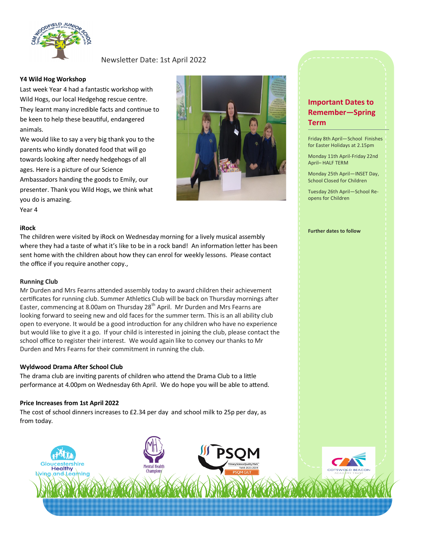

### Newsletter Date: 1st April 2022

#### **Y4 Wild Hog Workshop**

Last week Year 4 had a fantastic workshop with Wild Hogs, our local Hedgehog rescue centre. They learnt many incredible facts and continue to be keen to help these beautiful, endangered animals.

We would like to say a very big thank you to the parents who kindly donated food that will go towards looking after needy hedgehogs of all ages. Here is a picture of our Science Ambassadors handing the goods to Emily, our presenter. Thank you Wild Hogs, we think what you do is amazing. Year 4



#### **iRock**

The children were visited by iRock on Wednesday morning for a lively musical assembly where they had a taste of what it's like to be in a rock band! An information letter has been sent home with the children about how they can enrol for weekly lessons. Please contact the office if you require another copy.,

#### **Running Club**

Mr Durden and Mrs Fearns attended assembly today to award children their achievement certificates for running club. Summer Athletics Club will be back on Thursday mornings after Easter, commencing at 8.00am on Thursday 28<sup>th</sup> April. Mr Durden and Mrs Fearns are looking forward to seeing new and old faces for the summer term. This is an all ability club open to everyone. It would be a good introduction for any children who have no experience but would like to give it a go. If your child is interested in joining the club, please contact the school office to register their interest. We would again like to convey our thanks to Mr Durden and Mrs Fearns for their commitment in running the club.

#### **Wyldwood Drama After School Club**

The drama club are inviting parents of children who attend the Drama Club to a little performance at 4.00pm on Wednesday 6th April. We do hope you will be able to attend.

#### **Price Increases from 1st April 2022**

The cost of school dinners increases to £2.34 per day and school milk to 25p per day, as from today.



## **Important Dates to Remember—Spring Term**

Friday 8th April—School Finishes for Easter Holidays at 2.15pm

Monday 11th April-Friday 22nd April– HALF TERM

Monday 25th April—INSET Day, School Closed for Children

Tuesday 26th April—School Reopens for Children

#### **Further dates to follow**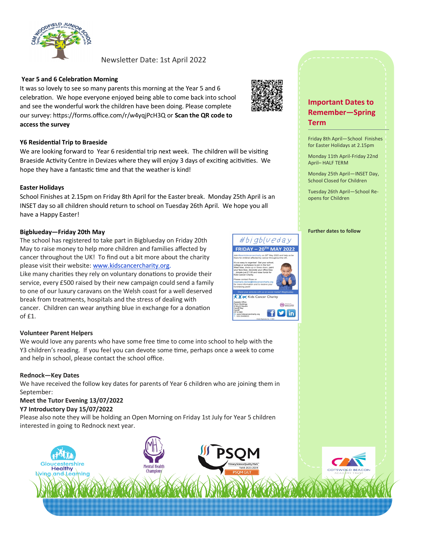

#### Newsletter Date: 1st April 2022

#### **Year 5 and 6 Celebration Morning**

It was so lovely to see so many parents this morning at the Year 5 and 6 celebration. We hope everyone enjoyed being able to come back into school and see the wonderful work the children have been doing. Please complete our survey: https://forms.office.com/r/w4yqjPcH3Q or **Scan the QR code to access the survey** 

#### **Y6 Residential Trip to Braeside**

We are looking forward to Year 6 residential trip next week. The children will be visiting Braeside Activity Centre in Devizes where they will enjoy 3 days of exciting acitivities. We hope they have a fantastic time and that the weather is kind!

#### **Easter Holidays**

School Finishes at 2.15pm on Friday 8th April for the Easter break. Monday 25th April is an INSET day so all children should return to school on Tuesday 26th April. We hope you all have a Happy Easter!

#### **Bigblueday—Friday 20th May**

The school has registered to take part in Bigblueday on Friday 20th May to raise money to help more children and families affected by cancer throughout the UK! To find out a bit more about the charity please visit their website: [www.kidscancercharity.org.](http://www.kidscancercharity.org/)

Like many charities they rely on voluntary donations to provide their service, every £500 raised by their new campaign could send a family to one of our luxury caravans on the Welsh coast for a well deserved break from treatments, hospitals and the stress of dealing with cancer. Children can wear anything blue in exchange for a donation of £1.

#### **Volunteer Parent Helpers**

We would love any parents who have some free time to come into school to help with the Y3 children's reading. If you feel you can devote some time, perhaps once a week to come and help in school, please contact the school office.

#### **Rednock—Key Dates**

We have received the follow key dates for parents of Year 6 children who are joining them in September:

# **Meet the Tutor Evening 13/07/2022**

**Y7 Introductory Day 15/07/2022**

Please also note they will be holding an Open Morning on Friday 1st July for Year 5 children interested in going to Rednock next year.





#bjgblueday **FRIDAY - 20TH MAY 2022** 

X X or Kids Cancer Charit

 $(FR)$ fyin

### **Important Dates to Remember—Spring Term**

Friday 8th April—School Finishes for Easter Holidays at 2.15pm

Monday 11th April-Friday 22nd April– HALF TERM

Monday 25th April—INSET Day, School Closed for Children

Tuesday 26th April—School Reopens for Children

**Further dates to follow**